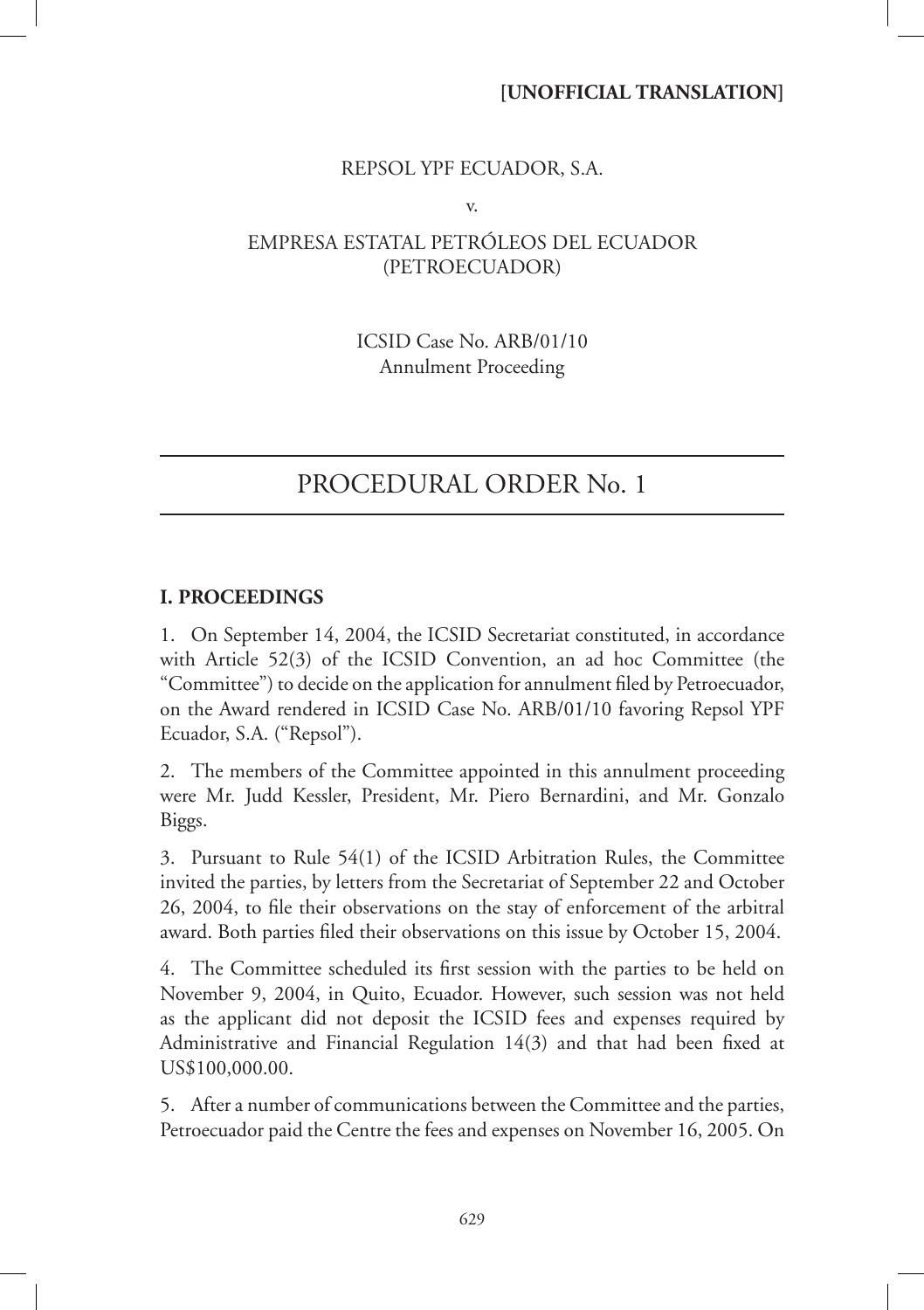### **[UNOFFICIAL TRANSLATION]**

### REPSOL YPF ECUADOR, S.A.

v.

## EMPRESA ESTATAL PETRÓLEOS DEL ECUADOR (PETROECUADOR)

ICSID Case No. ARB/01/10 Annulment Proceeding

# PROCEDURAL ORDER No. 1

### **I. PROCEEDINGS**

1. On September 14, 2004, the ICSID Secretariat constituted, in accordance with Article 52(3) of the ICSID Convention, an ad hoc Committee (the "Committee") to decide on the application for annulment filed by Petroecuador, on the Award rendered in ICSID Case No. ARB/01/10 favoring Repsol YPF Ecuador, S.A. ("Repsol").

2. The members of the Committee appointed in this annulment proceeding were Mr. Judd Kessler, President, Mr. Piero Bernardini, and Mr. Gonzalo Biggs.

3. Pursuant to Rule 54(1) of the ICSID Arbitration Rules, the Committee invited the parties, by letters from the Secretariat of September 22 and October 26, 2004, to file their observations on the stay of enforcement of the arbitral award. Both parties filed their observations on this issue by October 15, 2004.

4. The Committee scheduled its first session with the parties to be held on November 9, 2004, in Quito, Ecuador. However, such session was not held as the applicant did not deposit the ICSID fees and expenses required by Administrative and Financial Regulation  $14(3)$  and that had been fixed at US\$100,000.00.

5. After a number of communications between the Committee and the parties, Petroecuador paid the Centre the fees and expenses on November 16, 2005. On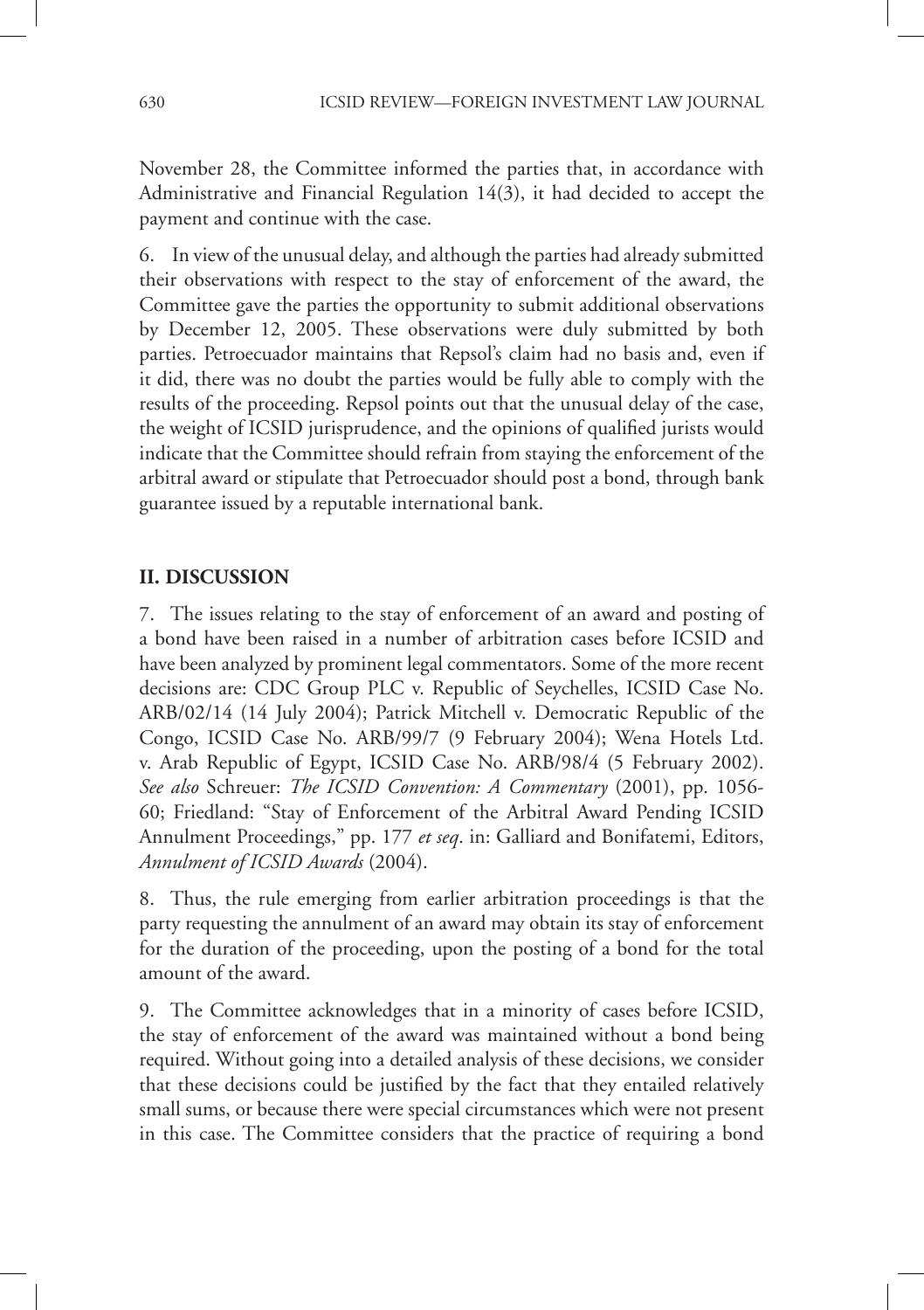November 28, the Committee informed the parties that, in accordance with Administrative and Financial Regulation 14(3), it had decided to accept the payment and continue with the case.

6. In view of the unusual delay, and although the parties had already submitted their observations with respect to the stay of enforcement of the award, the Committee gave the parties the opportunity to submit additional observations by December 12, 2005. These observations were duly submitted by both parties. Petroecuador maintains that Repsol's claim had no basis and, even if it did, there was no doubt the parties would be fully able to comply with the results of the proceeding. Repsol points out that the unusual delay of the case, the weight of ICSID jurisprudence, and the opinions of qualified jurists would indicate that the Committee should refrain from staying the enforcement of the arbitral award or stipulate that Petroecuador should post a bond, through bank guarantee issued by a reputable international bank.

### **II. DISCUSSION**

7. The issues relating to the stay of enforcement of an award and posting of a bond have been raised in a number of arbitration cases before ICSID and have been analyzed by prominent legal commentators. Some of the more recent decisions are: CDC Group PLC v. Republic of Seychelles, ICSID Case No. ARB/02/14 (14 July 2004); Patrick Mitchell v. Democratic Republic of the Congo, ICSID Case No. ARB/99/7 (9 February 2004); Wena Hotels Ltd. v. Arab Republic of Egypt, ICSID Case No. ARB/98/4 (5 February 2002). *See also* Schreuer: *The ICSID Convention: A Commentary* (2001), pp. 1056- 60; Friedland: "Stay of Enforcement of the Arbitral Award Pending ICSID Annulment Proceedings," pp. 177 *et seq*. in: Galliard and Bonifatemi, Editors, *Annulment of ICSID Awards* (2004).

8. Thus, the rule emerging from earlier arbitration proceedings is that the party requesting the annulment of an award may obtain its stay of enforcement for the duration of the proceeding, upon the posting of a bond for the total amount of the award.

9. The Committee acknowledges that in a minority of cases before ICSID, the stay of enforcement of the award was maintained without a bond being required. Without going into a detailed analysis of these decisions, we consider that these decisions could be justified by the fact that they entailed relatively small sums, or because there were special circumstances which were not present in this case. The Committee considers that the practice of requiring a bond